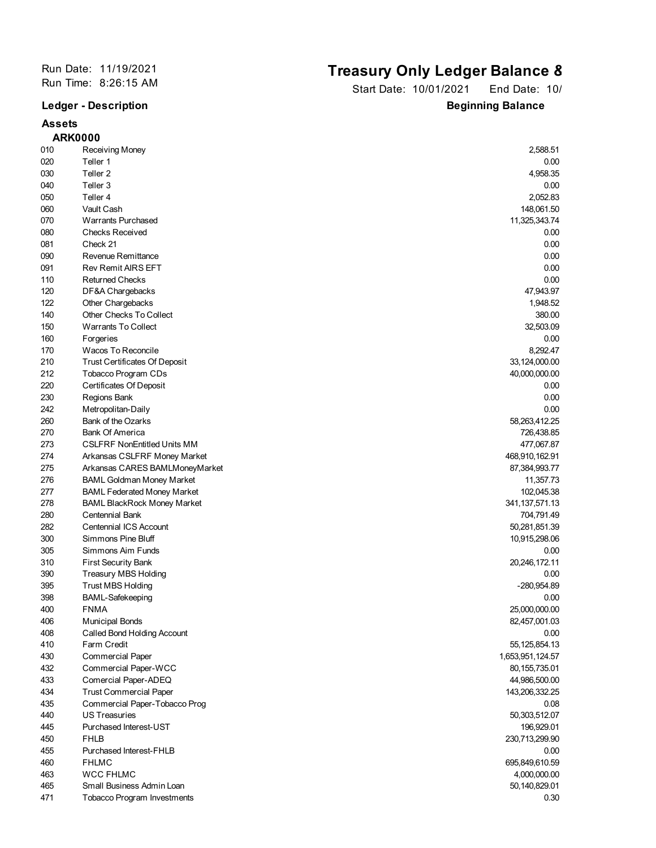## **Assets**

## Run Date: 11/19/2021<br>
Run Time: 8:26:15 AM<br> **City Pate: 10/01/2021**<br> **City Pate: 10/01/2021**<br> **City Rate: 10/01/2021**

Start Date: 10/01/2021 End Date: 10/ **Ledger - Description Beginning Balance** 

|     | <b>ARK0000</b>                       |                   |
|-----|--------------------------------------|-------------------|
| 010 | Receiving Money                      | 2,588.51          |
| 020 | Teller 1                             | 0.00              |
| 030 | Teller <sub>2</sub>                  | 4,958.35          |
| 040 | Teller 3                             | 0.00              |
| 050 | Teller 4                             | 2,052.83          |
| 060 | Vault Cash                           | 148,061.50        |
| 070 | <b>Warrants Purchased</b>            | 11,325,343.74     |
| 080 | <b>Checks Received</b>               | 0.00              |
| 081 | Check 21                             | 0.00              |
| 090 | Revenue Remittance                   | 0.00              |
| 091 | <b>Rev Remit AIRS EFT</b>            | 0.00              |
| 110 | <b>Returned Checks</b>               | 0.00              |
| 120 | DF&A Chargebacks                     | 47,943.97         |
| 122 | Other Chargebacks                    | 1,948.52          |
| 140 | Other Checks To Collect              | 380.00            |
| 150 | <b>Warrants To Collect</b>           | 32,503.09         |
| 160 | Forgeries                            | 0.00              |
| 170 | Wacos To Reconcile                   | 8,292.47          |
| 210 | <b>Trust Certificates Of Deposit</b> | 33,124,000.00     |
| 212 | Tobacco Program CDs                  | 40,000,000.00     |
| 220 | Certificates Of Deposit              | 0.00              |
| 230 | Regions Bank                         | 0.00              |
| 242 | Metropolitan-Daily                   | 0.00              |
| 260 | Bank of the Ozarks                   | 58,263,412.25     |
| 270 | <b>Bank Of America</b>               | 726,438.85        |
| 273 | <b>CSLFRF NonEntitled Units MM</b>   | 477,067.87        |
| 274 | Arkansas CSLFRF Money Market         | 468,910,162.91    |
| 275 | Arkansas CARES BAMLMoneyMarket       | 87,384,993.77     |
| 276 | <b>BAML Goldman Money Market</b>     | 11,357.73         |
| 277 | <b>BAML Federated Money Market</b>   | 102,045.38        |
| 278 | <b>BAML BlackRock Money Market</b>   | 341, 137, 571. 13 |
| 280 | Centennial Bank                      | 704,791.49        |
| 282 | Centennial ICS Account               | 50,281,851.39     |
| 300 | Simmons Pine Bluff                   | 10,915,298.06     |
| 305 | Simmons Aim Funds                    | 0.00              |
| 310 | <b>First Security Bank</b>           | 20,246,172.11     |
| 390 | <b>Treasury MBS Holding</b>          | 0.00              |
| 395 | <b>Trust MBS Holding</b>             | -280,954.89       |
| 398 | <b>BAML-Safekeeping</b>              | 0.00              |
| 400 | <b>FNMA</b>                          | 25,000,000.00     |
| 406 | <b>Municipal Bonds</b>               | 82,457,001.03     |
| 408 | Called Bond Holding Account          | 0.00              |
| 410 | Farm Credit                          | 55, 125, 854. 13  |
| 430 | <b>Commercial Paper</b>              | 1,653,951,124.57  |
| 432 | Commercial Paper-WCC                 | 80, 155, 735.01   |
| 433 | Comercial Paper-ADEQ                 | 44,986,500.00     |
| 434 | <b>Trust Commercial Paper</b>        | 143,206,332.25    |
| 435 | Commercial Paper-Tobacco Prog        | 0.08              |
| 440 | <b>US Treasuries</b>                 | 50,303,512.07     |
| 445 | Purchased Interest-UST               | 196,929.01        |
| 450 | <b>FHLB</b>                          | 230,713,299.90    |
| 455 | Purchased Interest-FHLB              | 0.00              |
| 460 | <b>FHLMC</b>                         | 695,849,610.59    |
| 463 | <b>WCC FHLMC</b>                     | 4,000,000.00      |
| 465 | Small Business Admin Loan            | 50,140,829.01     |
| 471 | Tobacco Program Investments          | 0.30              |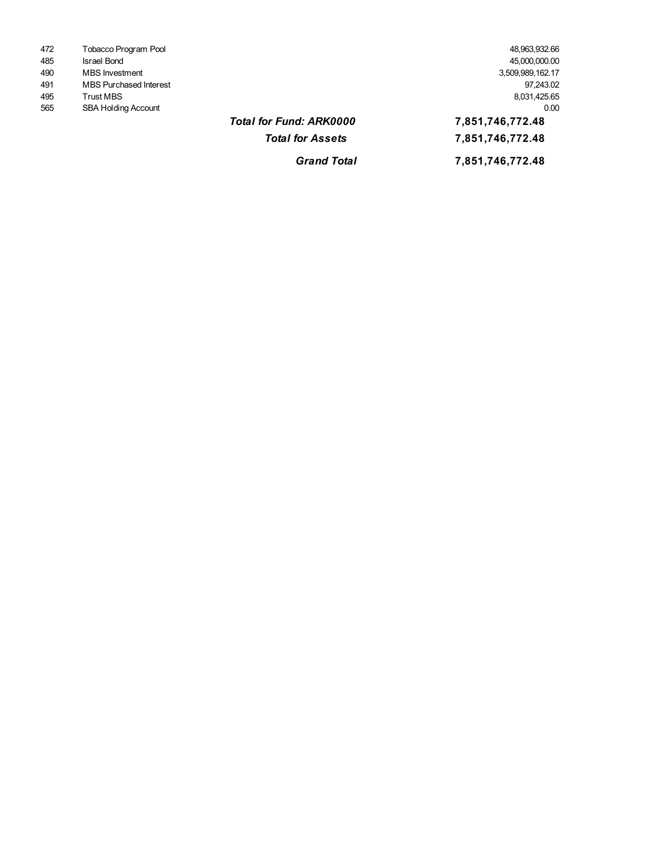| 472 | Tobacco Program Pool          | 48,963,932.66    |
|-----|-------------------------------|------------------|
| 485 | Israel Bond                   | 45,000,000.00    |
| 490 | <b>MBS</b> Investment         | 3,509,989,162.17 |
| 491 | <b>MBS Purchased Interest</b> | 97.243.02        |
| 495 | Trust MBS                     | 8,031,425.65     |
| 565 | <b>SBA Holding Account</b>    | 0.00             |

3,509,989,162.17<br>97,243.02 45,000,000.00 48,963,932.66

## *Total for Fund: ARK0000* **7,851,746,772.48 21,915,049,101.44 7,851,746,772.48**

*Grand Total* **7,851,746,772.48 21,915,049,101.44**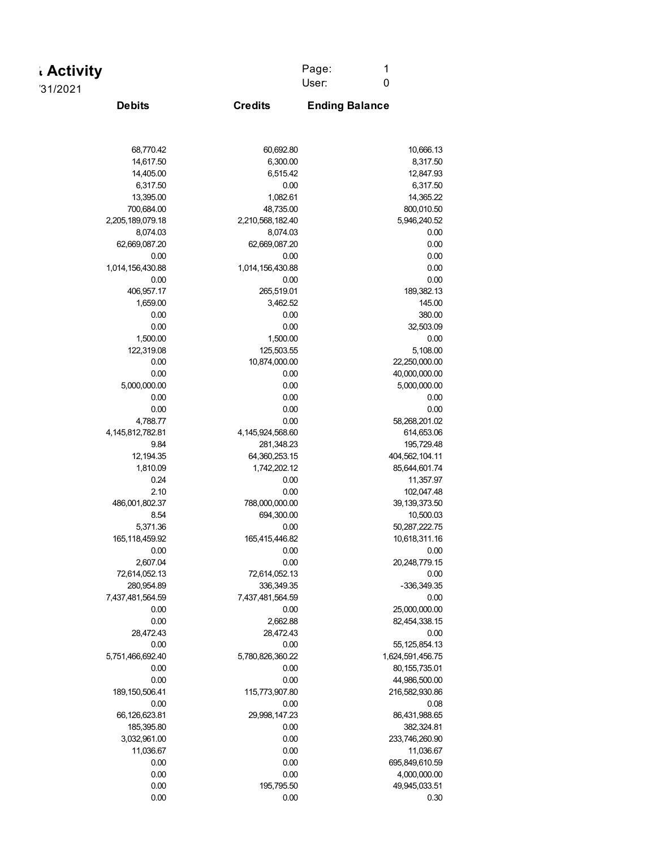| <b>Activity</b>           |                      | Page:<br>1<br>$\boldsymbol{0}$<br>User: |
|---------------------------|----------------------|-----------------------------------------|
| '31/2021<br><b>Debits</b> | <b>Credits</b>       | <b>Ending Balance</b>                   |
|                           |                      |                                         |
| 68,770.42                 | 60,692.80            | 10,666.13                               |
| 14,617.50                 | 6,300.00             | 8,317.50                                |
| 14,405.00                 | 6,515.42             | 12,847.93                               |
| 6,317.50                  | 0.00                 | 6,317.50                                |
| 13,395.00                 | 1,082.61             | 14,365.22                               |
| 700,684.00                | 48,735.00            | 800,010.50                              |
| 2,205,189,079.18          | 2,210,568,182.40     | 5,946,240.52                            |
| 8,074.03                  | 8,074.03             | 0.00                                    |
| 62,669,087.20             | 62,669,087.20        | 0.00                                    |
| 0.00                      | 0.00                 | 0.00                                    |
| 1,014,156,430.88          | 1,014,156,430.88     | 0.00                                    |
| 0.00                      | 0.00                 | 0.00                                    |
| 406,957.17                | 265,519.01           | 189,382.13                              |
| 1,659.00                  | 3,462.52             | 145.00                                  |
| 0.00                      | 0.00                 | 380.00                                  |
| 0.00                      | 0.00                 | 32,503.09                               |
| 1,500.00                  | 1,500.00             | 0.00                                    |
| 122,319.08                | 125,503.55           | 5,108.00                                |
| 0.00                      | 10,874,000.00        | 22,250,000.00                           |
| 0.00                      | 0.00                 | 40,000,000.00                           |
| 5,000,000.00              | 0.00                 | 5,000,000.00                            |
| 0.00                      | 0.00                 | 0.00                                    |
| 0.00                      | 0.00                 | 0.00                                    |
| 4,788.77                  | 0.00                 | 58,268,201.02                           |
| 4, 145, 812, 782. 81      | 4, 145, 924, 568. 60 | 614,653.06                              |
| 9.84                      | 281,348.23           | 195,729.48                              |
| 12,194.35                 | 64,360,253.15        | 404,562,104.11                          |
| 1,810.09                  | 1,742,202.12         | 85,644,601.74                           |
| 0.24                      | 0.00                 | 11,357.97                               |
| 2.10                      | 0.00                 | 102,047.48                              |
| 486,001,802.37            | 788,000,000.00       | 39,139,373.50                           |
| 8.54                      | 694,300.00           | 10,500.03                               |
| 5,371.36                  | 0.00                 | 50,287,222.75                           |
| 165,118,459.92            | 165,415,446.82       | 10,618,311.16                           |
| 0.00                      | 0.00                 | 0.00                                    |
| 2,607.04                  | 0.00                 | 20,248,779.15                           |
| 72,614,052.13             | 72,614,052.13        | 0.00                                    |
| 280,954.89                | 336,349.35           | -336,349.35                             |
| 7,437,481,564.59          | 7,437,481,564.59     | 0.00                                    |
| 0.00                      | 0.00                 | 25,000,000.00                           |
| $0.00\,$                  | 2,662.88             | 82,454,338.15                           |
| 28,472.43                 | 28,472.43            | 0.00                                    |
| 0.00                      | 0.00                 | 55, 125, 854. 13                        |
| 5,751,466,692.40          | 5,780,826,360.22     | 1,624,591,456.75                        |
| 0.00                      | 0.00                 | 80, 155, 735.01                         |
| 0.00                      | 0.00                 | 44,986,500.00                           |
| 189, 150, 506. 41         | 115,773,907.80       | 216,582,930.86                          |
| 0.00                      | 0.00                 | 0.08                                    |
| 66,126,623.81             | 29,998,147.23        | 86,431,988.65                           |
| 185,395.80                | 0.00                 | 382,324.81                              |
| 3,032,961.00              | 0.00                 | 233,746,260.90                          |
| 11,036.67                 | 0.00                 | 11,036.67                               |
| 0.00                      | 0.00                 | 695,849,610.59                          |
| $0.00\,$                  | 0.00                 | 4,000,000.00                            |
| 0.00                      | 195,795.50           | 49,945,033.51                           |
| $0.00\,$                  | 0.00                 | 0.30                                    |